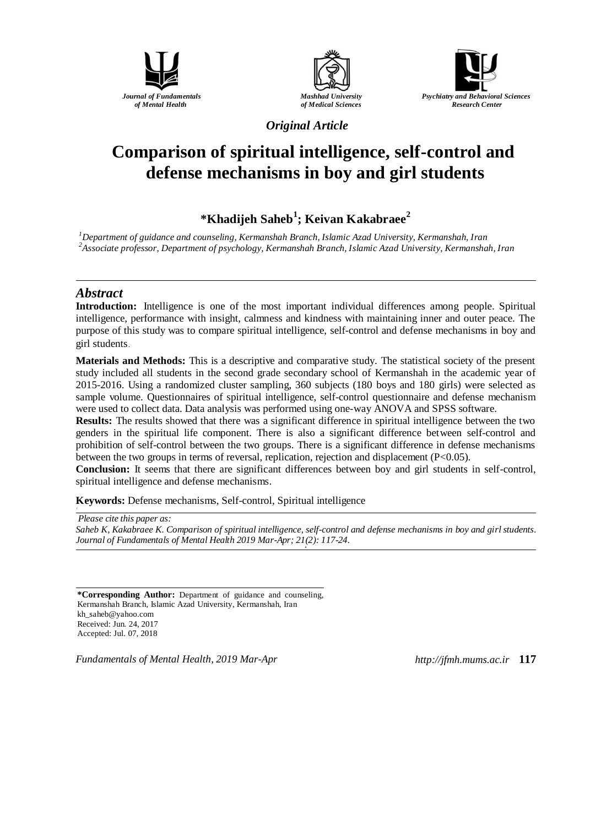





*Original Article*

# **Comparison of spiritual intelligence, self-control and defense mechanisms in boy and girl students**

## **\*Khadijeh Saheb<sup>1</sup> ; Keivan Kakabraee<sup>2</sup>**

*<sup>1</sup>Department of guidance and counseling, Kermanshah Branch, Islamic Azad University, Kermanshah, Iran <sup>2</sup>Associate professor, Department of psychology, Kermanshah Branch, Islamic Azad University, Kermanshah, Iran* 

#### *Abstract*

**Introduction:** Intelligence is one of the most important individual differences among people. Spiritual intelligence, performance with insight, calmness and kindness with maintaining inner and outer peace. The purpose of this study was to compare spiritual intelligence, self-control and defense mechanisms in boy and girl students.

**Materials and Methods:** This is a descriptive and comparative study. The statistical society of the present study included all students in the second grade secondary school of Kermanshah in the academic year of 2015-2016. Using a randomized cluster sampling, 360 subjects (180 boys and 180 girls) were selected as sample volume. Questionnaires of spiritual intelligence, self-control questionnaire and defense mechanism were used to collect data. Data analysis was performed using one-way ANOVA and SPSS software.

**Results:** The results showed that there was a significant difference in spiritual intelligence between the two genders in the spiritual life component. There is also a significant difference between self-control and prohibition of self-control between the two groups. There is a significant difference in defense mechanisms between the two groups in terms of reversal, replication, rejection and displacement (P<0.05).

**Conclusion:** It seems that there are significant differences between boy and girl students in self-control, spiritual intelligence and defense mechanisms.

**Keywords:** Defense mechanisms, Self-control, Spiritual intelligence

*Please cite this paper as:* 

Saheb *K, Kakabraee K. Comparison of spiritual intelligence, self-control and defense mechanisms in boy and girl students. Journal of Fundamentals of Mental Health 2019 Mar-Apr; 21(2): 117-24. o*

**\*Corresponding Author:** Department of guidance and counseling, Kermanshah Branch, Islamic Azad University, Kermanshah, Iran [kh\\_saheb@yahoo.com](mailto:kh_saheb@yahoo.com) Received: Jun. 24, 2017 Accepted: Jul. 07, 2018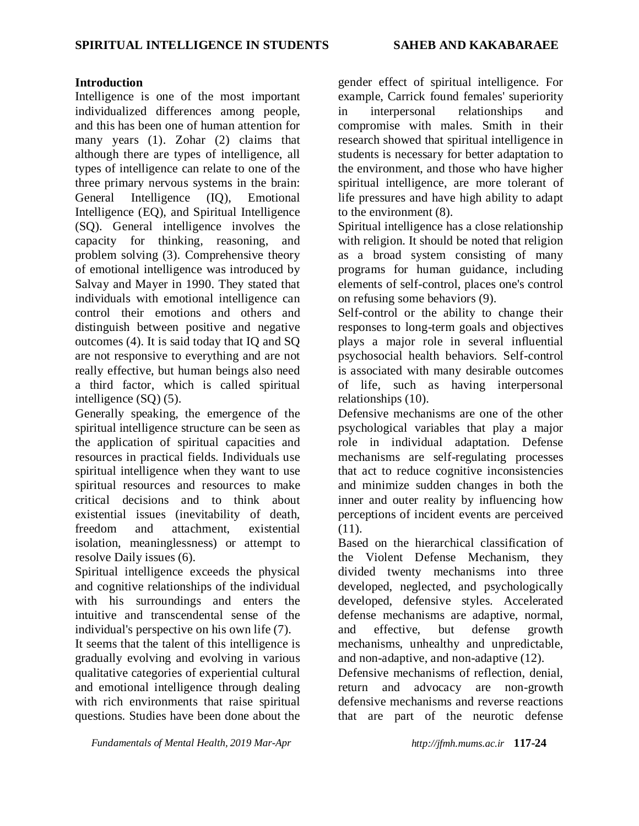#### **Introduction**

Intelligence is one of the most important individualized differences among people, and this has been one of human attention for many years (1). Zohar (2) claims that although there are types of intelligence, all types of intelligence can relate to one of the three primary nervous systems in the brain: General Intelligence (IQ), Emotional Intelligence (EQ), and Spiritual Intelligence (SQ). General intelligence involves the capacity for thinking, reasoning, and problem solving (3). Comprehensive theory of emotional intelligence was introduced by Salvay and Mayer in 1990. They stated that individuals with emotional intelligence can control their emotions and others and distinguish between positive and negative outcomes (4). It is said today that IQ and SQ are not responsive to everything and are not really effective, but human beings also need a third factor, which is called spiritual intelligence (SQ) (5).

Generally speaking, the emergence of the spiritual intelligence structure can be seen as the application of spiritual capacities and resources in practical fields. Individuals use spiritual intelligence when they want to use spiritual resources and resources to make critical decisions and to think about existential issues (inevitability of death, freedom and attachment, existential isolation, meaninglessness) or attempt to resolve Daily issues (6).

Spiritual intelligence exceeds the physical and cognitive relationships of the individual with his surroundings and enters the intuitive and transcendental sense of the individual's perspective on his own life (7).

It seems that the talent of this intelligence is gradually evolving and evolving in various qualitative categories of experiential cultural and emotional intelligence through dealing with rich environments that raise spiritual questions. Studies have been done about the gender effect of spiritual intelligence. For example, Carrick found females' superiority in interpersonal relationships and compromise with males. Smith in their research showed that spiritual intelligence in students is necessary for better adaptation to the environment, and those who have higher spiritual intelligence, are more tolerant of life pressures and have high ability to adapt to the environment (8).

Spiritual intelligence has a close relationship with religion. It should be noted that religion as a broad system consisting of many programs for human guidance, including elements of self-control, places one's control on refusing some behaviors (9).

Self-control or the ability to change their responses to long-term goals and objectives plays a major role in several influential psychosocial health behaviors. Self-control is associated with many desirable outcomes of life, such as having interpersonal relationships (10).

Defensive mechanisms are one of the other psychological variables that play a major role in individual adaptation. Defense mechanisms are self-regulating processes that act to reduce cognitive inconsistencies and minimize sudden changes in both the inner and outer reality by influencing how perceptions of incident events are perceived  $(11)$ .

Based on the hierarchical classification of the Violent Defense Mechanism, they divided twenty mechanisms into three developed, neglected, and psychologically developed, defensive styles. Accelerated defense mechanisms are adaptive, normal, and effective, but defense growth mechanisms, unhealthy and unpredictable, and non-adaptive, and non-adaptive (12).

Defensive mechanisms of reflection, denial, return and advocacy are non-growth defensive mechanisms and reverse reactions that are part of the neurotic defense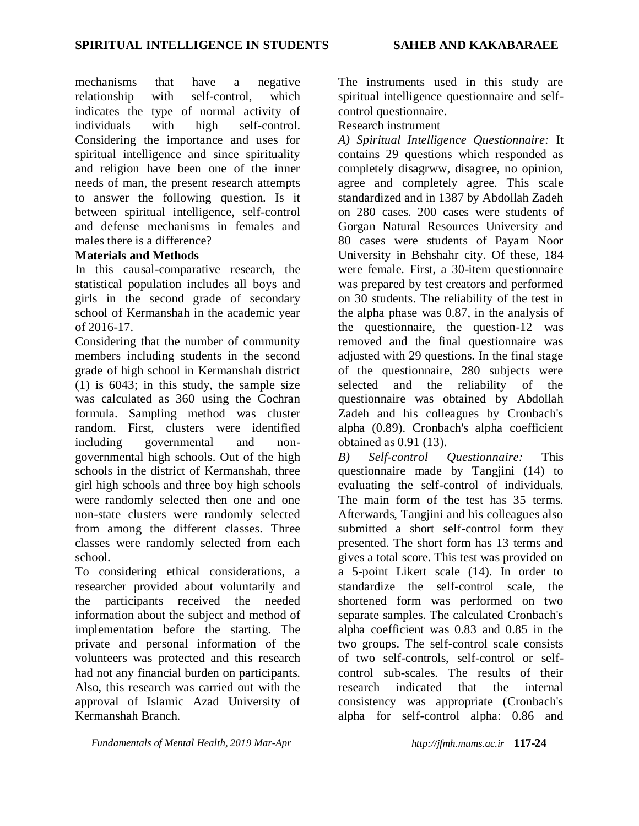mechanisms that have a negative relationship with self-control, which indicates the type of normal activity of individuals with high self-control. Considering the importance and uses for spiritual intelligence and since spirituality and religion have been one of the inner needs of man, the present research attempts to answer the following question. Is it between spiritual intelligence, self-control and defense mechanisms in females and males there is a difference?

### **Materials and Methods**

In this causal-comparative research, the statistical population includes all boys and girls in the second grade of secondary school of Kermanshah in the academic year of 2016-17.

Considering that the number of community members including students in the second grade of high school in Kermanshah district (1) is 6043; in this study, the sample size was calculated as 360 using the Cochran formula. Sampling method was cluster random. First, clusters were identified including governmental and nongovernmental high schools. Out of the high schools in the district of Kermanshah, three girl high schools and three boy high schools were randomly selected then one and one non-state clusters were randomly selected from among the different classes. Three classes were randomly selected from each school.

To considering ethical considerations, a researcher provided about voluntarily and the participants received the needed information about the subject and method of implementation before the starting. The private and personal information of the volunteers was protected and this research had not any financial burden on participants. Also, this research was carried out with the approval of Islamic Azad University of Kermanshah Branch.

The instruments used in this study are spiritual intelligence questionnaire and selfcontrol questionnaire.

### Research instrument

*A) Spiritual Intelligence Questionnaire:* It contains 29 questions which responded as completely disagrww, disagree, no opinion, agree and completely agree. This scale standardized and in 1387 by Abdollah Zadeh on 280 cases. 200 cases were students of Gorgan Natural Resources University and 80 cases were students of Payam Noor University in Behshahr city. Of these, 184 were female. First, a 30-item questionnaire was prepared by test creators and performed on 30 students. The reliability of the test in the alpha phase was 0.87, in the analysis of the questionnaire, the question-12 was removed and the final questionnaire was adjusted with 29 questions. In the final stage of the questionnaire, 280 subjects were selected and the reliability of the questionnaire was obtained by Abdollah Zadeh and his colleagues by Cronbach's alpha (0.89). Cronbach's alpha coefficient obtained as 0.91 (13).

*B) Self-control Questionnaire:* This questionnaire made by Tangjini (14) to evaluating the self-control of individuals. The main form of the test has 35 terms. Afterwards, Tangjini and his colleagues also submitted a short self-control form they presented. The short form has 13 terms and gives a total score. This test was provided on a 5-point Likert scale (14). In order to standardize the self-control scale, the shortened form was performed on two separate samples. The calculated Cronbach's alpha coefficient was 0.83 and 0.85 in the two groups. The self-control scale consists of two self-controls, self-control or selfcontrol sub-scales. The results of their research indicated that the internal consistency was appropriate (Cronbach's alpha for self-control alpha: 0.86 and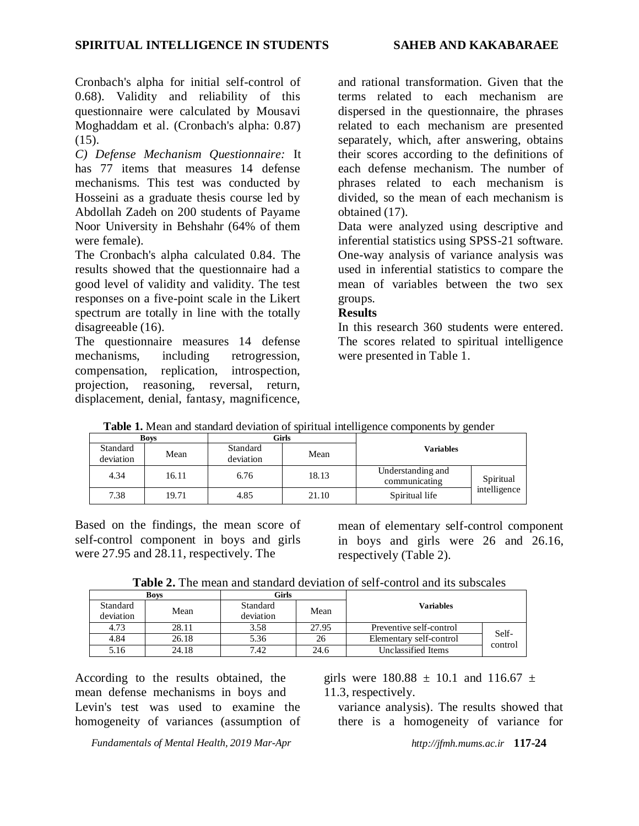Cronbach's alpha for initial self-control of 0.68). Validity and reliability of this questionnaire were calculated by Mousavi Moghaddam et al. (Cronbach's alpha: 0.87)  $(15)$ .

*C) Defense Mechanism Questionnaire:* It has 77 items that measures 14 defense mechanisms. This test was conducted by Hosseini as a graduate thesis course led by Abdollah Zadeh on 200 students of Payame Noor University in Behshahr (64% of them were female).

The Cronbach's alpha calculated 0.84. The results showed that the questionnaire had a good level of validity and validity. The test responses on a five-point scale in the Likert spectrum are totally in line with the totally disagreeable (16).

The questionnaire measures 14 defense mechanisms, including retrogression, compensation, replication, introspection, projection, reasoning, reversal, return, displacement, denial, fantasy, magnificence,

and rational transformation. Given that the terms related to each mechanism are dispersed in the questionnaire, the phrases related to each mechanism are presented separately, which, after answering, obtains their scores according to the definitions of each defense mechanism. The number of phrases related to each mechanism is divided, so the mean of each mechanism is obtained (17).

Data were analyzed using descriptive and inferential statistics using SPSS-21 software. One-way analysis of variance analysis was used in inferential statistics to compare the mean of variables between the two sex groups.

#### **Results**

In this research 360 students were entered. The scores related to spiritual intelligence were presented in Table 1.

| <b>Boys</b>           |       |                       | Girls |                  |                                    |              |
|-----------------------|-------|-----------------------|-------|------------------|------------------------------------|--------------|
| Standard<br>deviation | Mean  | Standard<br>deviation | Mean  | <b>Variables</b> |                                    |              |
| 4.34                  | 16.11 | 6.76                  | 18.13 |                  | Understanding and<br>communicating | Spiritual    |
| 7.38                  | 19.71 | 4.85                  | 21.10 |                  | Spiritual life                     | intelligence |

**Table 1.** Mean and standard deviation of spiritual intelligence components by gender

Based on the findings, the mean score of self-control component in boys and girls were 27.95 and 28.11, respectively. The

mean of elementary self-control component in boys and girls were 26 and 26.16, respectively (Table 2).

| <b>Table 2.</b> The mean and standard deviation of self-control and its subscales |  |  |
|-----------------------------------------------------------------------------------|--|--|
|-----------------------------------------------------------------------------------|--|--|

|                       | <b>Boys</b> | Girls                 |                               |                         |         |
|-----------------------|-------------|-----------------------|-------------------------------|-------------------------|---------|
| Standard<br>deviation | Mean        | Standard<br>deviation | Mean                          | Variables               |         |
| 4.73                  | 28.11       | 3.58                  | 27.95                         | Preventive self-control | Self-   |
| 4.84                  | 26.18       | 5.36                  | Elementary self-control<br>26 |                         | control |
| 5.16                  | 24.18       | 7.42                  | 24.6                          | Unclassified Items      |         |

According to the results obtained, the mean defense mechanisms in boys and Levin's test was used to examine the homogeneity of variances (assumption of girls were  $180.88 \pm 10.1$  and  $116.67 \pm 10.1$ 11.3, respectively.

variance analysis). The results showed that there is a homogeneity of variance for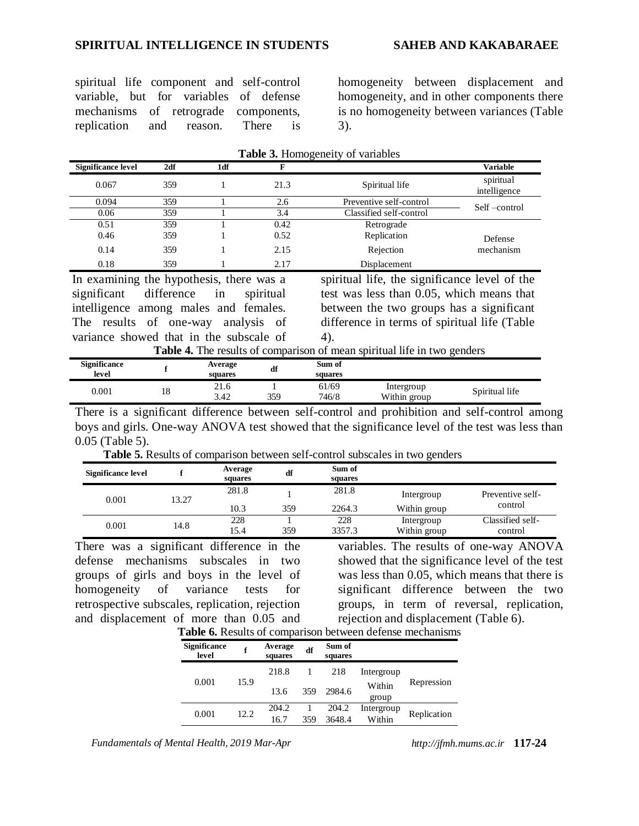#### **SPIRITUAL INTELLIGENCE IN STUDENTS SAHEB AND KAKABARAEE**

spiritual life component and self-control variable, but for variables of defense mechanisms of retrograde components, replication and reason. There is

homogeneity between displacement and homogeneity, and in other components there is no homogeneity between variances (Table 3).

| <b>Significance level</b>                | 2df | 1df | F    |                                               | <b>Variable</b>           |
|------------------------------------------|-----|-----|------|-----------------------------------------------|---------------------------|
| 0.067                                    | 359 |     | 21.3 | Spiritual life                                | spiritual<br>intelligence |
| 0.094                                    | 359 |     | 2.6  | Preventive self-control                       | Self-control              |
| 0.06                                     | 359 |     | 3.4  | Classified self-control                       |                           |
| 0.51                                     | 359 |     | 0.42 | Retrograde                                    |                           |
| 0.46                                     | 359 |     | 0.52 | Replication                                   | Defense                   |
| 0.14                                     | 359 |     | 2.15 | Rejection                                     | mechanism                 |
| 0.18                                     | 359 |     | 2.17 | Displacement                                  |                           |
| In examining the hypothesis, there was a |     |     |      | spiritual life, the significance level of the |                           |

|  | <b>Table 3.</b> Homogeneity of variables |  |  |
|--|------------------------------------------|--|--|
|--|------------------------------------------|--|--|

In examining the hypothesis, there was a significant difference in spiritual intelligence among males and females. The results of one-way analysis of variance showed that in the subscale of

spiritual life, the significance level of the test was less than 0.05, which means that between the two groups has a significant difference in terms of spiritual life (Table 4).

|  | Table 4. The results of comparison of mean spiritual life in two genders |  |  |  |  |  |  |  |
|--|--------------------------------------------------------------------------|--|--|--|--|--|--|--|
|--|--------------------------------------------------------------------------|--|--|--|--|--|--|--|

| <b>Significance</b><br>level |    | Average<br>squares | df  | Sum of<br>squares |                            |                |
|------------------------------|----|--------------------|-----|-------------------|----------------------------|----------------|
| 0.001                        | 18 | 21.6<br>3.42       | 359 | 61/69<br>746/8    | Intergroup<br>Within group | Spiritual life |

There is a significant difference between self-control and prohibition and self-control among boys and girls. One-way ANOVA test showed that the significance level of the test was less than 0.05 (Table 5).

**Table 5.** Results of comparison between self-control subscales in two genders

| Significance level |       | Average<br>squares | df  | Sum of<br>squares |              |                  |
|--------------------|-------|--------------------|-----|-------------------|--------------|------------------|
| 0.001              | 13.27 | 281.8              |     | 281.8             | Intergroup   | Preventive self- |
|                    |       | 10.3               | 359 | 2264.3            | Within group | control          |
| 0.001              | 14.8  | 228                |     | 228               | Intergroup   | Classified self- |
|                    |       | 15.4               | 359 | 3357.3            | Within group | control          |

There was a significant difference in the defense mechanisms subscales in two groups of girls and boys in the level of homogeneity of variance tests for retrospective subscales, replication, rejection and displacement of more than 0.05 and variables. The results of one-way ANOVA showed that the significance level of the test was less than 0.05, which means that there is significant difference between the two groups, in term of reversal, replication, rejection and displacement (Table 6).

|                     |         |    | <b>Table 6.</b> Results of comparison between defense mechanisms |  |
|---------------------|---------|----|------------------------------------------------------------------|--|
| <b>Significance</b> | Average | df | -Sum of                                                          |  |
| level               | squares |    | squares                                                          |  |

|  | <u>.</u><br>level |      | <br>squares | df  | waan vi<br>squares |            |             |
|--|-------------------|------|-------------|-----|--------------------|------------|-------------|
|  | 0.001             |      | 218.8       |     | 218                | Intergroup |             |
|  |                   | 15.9 | 13.6        | 359 | 2984.6             | Within     | Repression  |
|  |                   |      |             |     |                    | group      |             |
|  | 0.001             | 12.2 | 204.2       |     | 204.2              | Intergroup | Replication |
|  |                   |      | 16.7        | 359 | 3648.4             | Within     |             |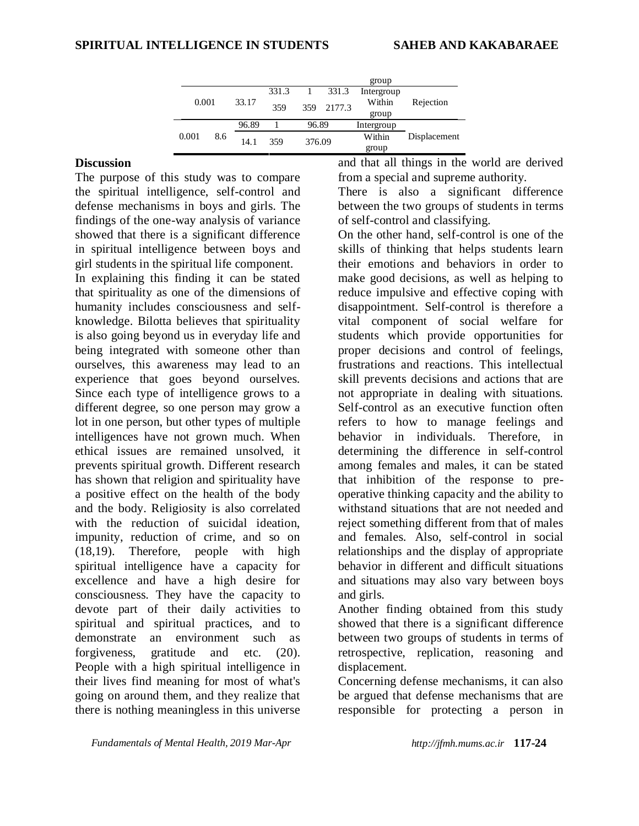|       |     |       |       |        |        | group      |              |
|-------|-----|-------|-------|--------|--------|------------|--------------|
|       |     |       | 331.3 |        | 331.3  | Intergroup |              |
| 0.001 |     | 33.17 | 359   | 359    | 2177.3 | Within     | Rejection    |
|       |     |       |       |        |        | group      |              |
|       |     | 96.89 |       | 96.89  |        | Intergroup |              |
| 0.001 | 8.6 | 14.1  | 359   | 376.09 |        | Within     | Displacement |
|       |     |       |       |        |        | group      |              |

#### **Discussion**

The purpose of this study was to compare the spiritual intelligence, self-control and defense mechanisms in boys and girls. The findings of the one-way analysis of variance showed that there is a significant difference in spiritual intelligence between boys and girl students in the spiritual life component.

In explaining this finding it can be stated that spirituality as one of the dimensions of humanity includes consciousness and selfknowledge. Bilotta believes that spirituality is also going beyond us in everyday life and being integrated with someone other than ourselves, this awareness may lead to an experience that goes beyond ourselves. Since each type of intelligence grows to a different degree, so one person may grow a lot in one person, but other types of multiple intelligences have not grown much. When ethical issues are remained unsolved, it prevents spiritual growth. Different research has shown that religion and spirituality have a positive effect on the health of the body and the body. Religiosity is also correlated with the reduction of suicidal ideation. impunity, reduction of crime, and so on (18,19). Therefore, people with high spiritual intelligence have a capacity for excellence and have a high desire for consciousness. They have the capacity to devote part of their daily activities to spiritual and spiritual practices, and to demonstrate an environment such as forgiveness, gratitude and etc. (20). People with a high spiritual intelligence in their lives find meaning for most of what's going on around them, and they realize that there is nothing meaningless in this universe

and that all things in the world are derived from a special and supreme authority.

There is also a significant difference between the two groups of students in terms of self-control and classifying.

On the other hand, self-control is one of the skills of thinking that helps students learn their emotions and behaviors in order to make good decisions, as well as helping to reduce impulsive and effective coping with disappointment. Self-control is therefore a vital component of social welfare for students which provide opportunities for proper decisions and control of feelings, frustrations and reactions. This intellectual skill prevents decisions and actions that are not appropriate in dealing with situations. Self-control as an executive function often refers to how to manage feelings and behavior in individuals. Therefore, in determining the difference in self-control among females and males, it can be stated that inhibition of the response to preoperative thinking capacity and the ability to withstand situations that are not needed and reject something different from that of males and females. Also, self-control in social relationships and the display of appropriate behavior in different and difficult situations and situations may also vary between boys and girls.

Another finding obtained from this study showed that there is a significant difference between two groups of students in terms of retrospective, replication, reasoning and displacement.

Concerning defense mechanisms, it can also be argued that defense mechanisms that are responsible for protecting a person in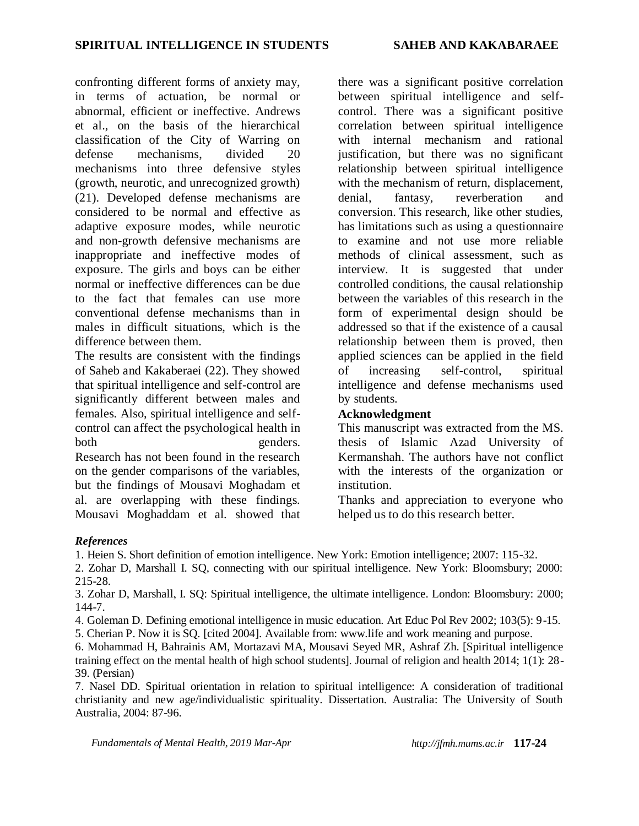confronting different forms of anxiety may, in terms of actuation, be normal or abnormal, efficient or ineffective. Andrews et al., on the basis of the hierarchical classification of the City of Warring on defense mechanisms, divided 20 mechanisms into three defensive styles (growth, neurotic, and unrecognized growth) (21). Developed defense mechanisms are considered to be normal and effective as adaptive exposure modes, while neurotic and non-growth defensive mechanisms are inappropriate and ineffective modes of exposure. The girls and boys can be either normal or ineffective differences can be due to the fact that females can use more conventional defense mechanisms than in males in difficult situations, which is the difference between them.

The results are consistent with the findings of Saheb and Kakaberaei (22). They showed that spiritual intelligence and self-control are significantly different between males and females. Also, spiritual intelligence and selfcontrol can affect the psychological health in both genders. Research has not been found in the research on the gender comparisons of the variables, but the findings of Mousavi Moghadam et

al. are overlapping with these findings. Mousavi Moghaddam et al. showed that there was a significant positive correlation between spiritual intelligence and selfcontrol. There was a significant positive correlation between spiritual intelligence with internal mechanism and rational justification, but there was no significant relationship between spiritual intelligence with the mechanism of return, displacement, denial, fantasy, reverberation and conversion. This research, like other studies, has limitations such as using a questionnaire to examine and not use more reliable methods of clinical assessment, such as interview. It is suggested that under controlled conditions, the causal relationship between the variables of this research in the form of experimental design should be addressed so that if the existence of a causal relationship between them is proved, then applied sciences can be applied in the field of increasing self-control, spiritual intelligence and defense mechanisms used by students.

#### **Acknowledgment**

This manuscript was extracted from the MS. thesis of Islamic Azad University of Kermanshah. The authors have not conflict with the interests of the organization or institution.

Thanks and appreciation to everyone who helped us to do this research better.

#### *References*

1. Heien S. Short definition of emotion intelligence. New York: Emotion intelligence; 2007: 115-32.

2. Zohar D, Marshall I. SQ, connecting with our spiritual intelligence. New York: Bloomsbury; 2000: 215-28.

3. Zohar D, Marshall, I. SQ: Spiritual intelligence, the ultimate intelligence. London: Bloomsbury: 2000; 144-7.

4. Goleman D. Defining emotional intelligence in music education. Art Educ Pol Rev 2002; 103(5): 9-15.

5. Cherian P. Now it is SQ. [cited 2004]. Available from: www.life and work meaning and purpose.

6. Mohammad H, Bahrainis AM, Mortazavi MA, Mousavi Seyed MR, Ashraf Zh. [Spiritual intelligence training effect on the mental health of high school students]. Journal of religion and health 2014; 1(1): 28- 39. (Persian)

7. Nasel DD. Spiritual orientation in relation to spiritual intelligence: A consideration of traditional christianity and new age/individualistic spirituality. Dissertation. Australia: The University of South Australia, 2004: 87-96.